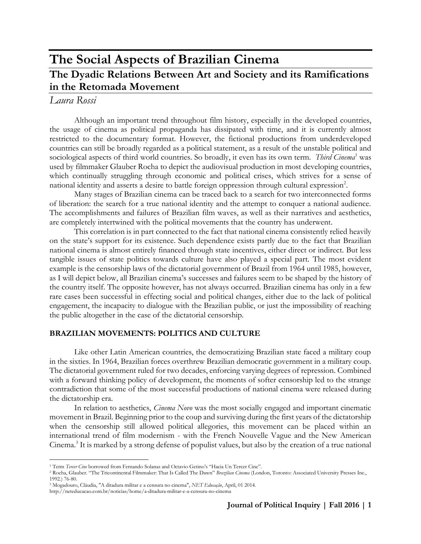# **The Social Aspects of Brazilian Cinema The Dyadic Relations Between Art and Society and its Ramifications in the Retomada Movement**

## *Laura Rossi*

 $\overline{a}$ 

Although an important trend throughout film history, especially in the developed countries, the usage of cinema as political propaganda has dissipated with time, and it is currently almost restricted to the documentary format. However, the fictional productions from underdeveloped countries can still be broadly regarded as a political statement, as a result of the unstable political and sociological aspects of third world countries. So broadly, it even has its own term. *Third Cinema*<sup>1</sup> was used by filmmaker Glauber Rocha to depict the audiovisual production in most developing countries, which continually struggling through economic and political crises, which strives for a sense of national identity and asserts a desire to battle foreign oppression through cultural expression<sup>2</sup>.

Many stages of Brazilian cinema can be traced back to a search for two interconnected forms of liberation: the search for a true national identity and the attempt to conquer a national audience. The accomplishments and failures of Brazilian film waves, as well as their narratives and aesthetics, are completely intertwined with the political movements that the country has underwent.

This correlation is in part connected to the fact that national cinema consistently relied heavily on the state's support for its existence. Such dependence exists partly due to the fact that Brazilian national cinema is almost entirely financed through state incentives, either direct or indirect. But less tangible issues of state politics towards culture have also played a special part. The most evident example is the censorship laws of the dictatorial government of Brazil from 1964 until 1985, however, as I will depict below, all Brazilian cinema's successes and failures seem to be shaped by the history of the country itself. The opposite however, has not always occurred. Brazilian cinema has only in a few rare cases been successful in effecting social and political changes, either due to the lack of political engagement, the incapacity to dialogue with the Brazilian public, or just the impossibility of reaching the public altogether in the case of the dictatorial censorship.

## **BRAZILIAN MOVEMENTS: POLITICS AND CULTURE**

Like other Latin American countries, the democratizing Brazilian state faced a military coup in the sixties. In 1964, Brazilian forces overthrew Brazilian democratic government in a military coup. The dictatorial government ruled for two decades, enforcing varying degrees of repression. Combined with a forward thinking policy of development, the moments of softer censorship led to the strange contradiction that some of the most successful productions of national cinema were released during the dictatorship era.

In relation to aesthetics, *Cinema Novo* was the most socially engaged and important cinematic movement in Brazil. Beginning prior to the coup and surviving during the first years of the dictatorship when the censorship still allowed political allegories, this movement can be placed within an international trend of film modernism - with the French Nouvelle Vague and the New American Cinema.<sup>3</sup> It is marked by a strong defense of populist values, but also by the creation of a true national

<sup>1</sup> Term *Tercer Cine* borrowed from Fernando Solanas and Octavio Getino's "Hacia Un Tercer Cine".

<sup>2</sup> Rocha, Glauber. "The Tricontinental Filmmaker: That Is Called The Dawn" *Brazilian Cinema* (London, Toronto: Associated University Presses Inc., 1992.) 76-80.

<sup>3</sup> Mogadouro, Cláudia, "A ditadura militar e a censura no cinema", *NET Educação*, April, 01 2014.

<http://neteducacao.com.br/noticias/home/a-ditadura-militar-e-a-censura-no-cinema>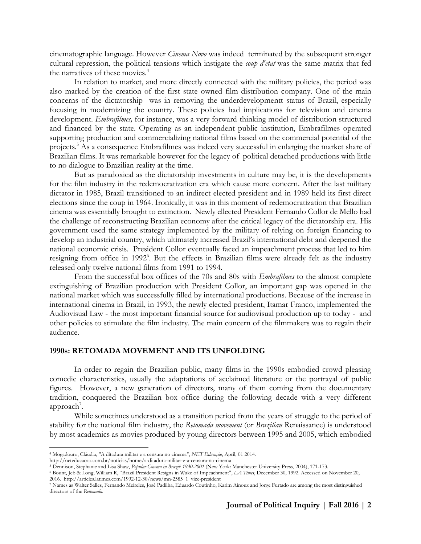cinematographic language. However *Cinema Novo* was indeed terminated by the subsequent stronger cultural repression, the political tensions which instigate the *coup d'etat* was the same matrix that fed the narratives of these movies. 4

In relation to market, and more directly connected with the military policies, the period was also marked by the creation of the first state owned film distribution company. One of the main concerns of the dictatorship was in removing the underdevelopmentt status of Brazil, especially focusing in modernizing the country. These policies had implications for television and cinema development. *Embrafilmes,* for instance, was a very forward-thinking model of distribution structured and financed by the state. Operating as an independent public institution, Embrafilmes operated supporting production and commercializing national films based on the commercial potential of the projects.<sup>5</sup> As a consequence Embrafilmes was indeed very successful in enlarging the market share of Brazilian films. It was remarkable however for the legacy of political detached productions with little to no dialogue to Brazilian reality at the time.

But as paradoxical as the dictatorship investments in culture may be, it is the developments for the film industry in the redemocratization era which cause more concern. After the last military dictator in 1985, Brazil transitioned to an indirect elected president and in 1989 held its first direct elections since the coup in 1964. Ironically, it was in this moment of redemocratization that Brazilian cinema was essentially brought to extinction. Newly ellected President Fernando Collor de Mello had the challenge of reconstructing Brazilian economy after the critical legacy of the dictatorship era. His government used the same strategy implemented by the military of relying on foreign financing to develop an industrial country, which ultimately increased Brazil's international debt and deepened the national economic crisis. President Collor eventually faced an impeachment process that led to him resigning from office in 1992<sup>6</sup>. But the effects in Brazilian films were already felt as the industry released only twelve national films from 1991 to 1994.

From the successful box offices of the 70s and 80s with *Embrafilmes* to the almost complete extinguishing of Brazilian production with President Collor, an important gap was opened in the national market which was successfully filled by international productions. Because of the increase in international cinema in Brazil, in 1993, the newly elected president, Itamar Franco, implemented the Audiovisual Law - the most important financial source for audiovisual production up to today - and other policies to stimulate the film industry. The main concern of the filmmakers was to regain their audience.

## **1990s: RETOMADA MOVEMENT AND ITS UNFOLDING**

In order to regain the Brazilian public, many films in the 1990s embodied crowd pleasing comedic characteristics, usually the adaptations of acclaimed literature or the portrayal of public figures. However, a new generation of directors, many of them coming from the documentary tradition, conquered the Brazilian box office during the following decade with a very different approach<sup>7</sup>.

While sometimes understood as a transition period from the years of struggle to the period of stability for the national film industry, the *Retomada movement* (or *Brazilian* Renaissance) is understood by most academics as movies produced by young directors between 1995 and 2005, which embodied

 $\overline{a}$ 

<sup>4</sup> Mogadouro, Cláudia, "A ditadura militar e a censura no cinema", *NET Educação*, April, 01 2014.

<http://neteducacao.com.br/noticias/home/a-ditadura-militar-e-a-censura-no-cinema>

<sup>5</sup> Dennison, Stephanie and Lisa Shaw, *Popular Cinema in Brazil: 1930-2001* (New York: Manchester University Press, 2004), 171-173.

<sup>6</sup> Bount, Jeb & Long, William R, "Brazil President Resigns in Wake of Impeachment", *LA Times*, December 30, 1992. Accessed on November 20, 2016. [http://articles.latimes.com/1992-12-30/news/mn-2585\\_1\\_vice-president](http://articles.latimes.com/1992-12-30/news/mn-2585_1_vice-president)

<sup>7</sup> Names as Walter Salles, Fernando Meireles, José Padilha, Eduardo Coutinho, Karim Ainouz and Jorge Furtado are among the most distinguished directors of the *Retomada*.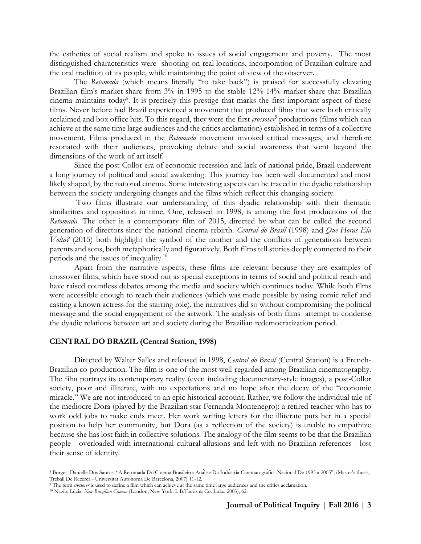the esthetics of social realism and spoke to issues of social engagement and poverty. The most distinguished characteristics were shooting on real locations, incorporation of Brazilian culture and the oral tradition of its people, while maintaining the point of view of the observer.

The *Retomada* (which means literally "to take back") is praised for successfully elevating Brazilian film's market-share from 3% in 1995 to the stable 12%-14% market-share that Brazilian cinema maintains today<sup>8</sup>. It is precisely this prestige that marks the first important aspect of these films. Never before had Brazil experienced a movement that produced films that were both critically acclaimed and box office hits. To this regard, they were the first *crossover*<sup>9</sup> productions (films which can achieve at the same time large audiences and the critics acclamation) established in terms of a collective movement. Films produced in the *Retomada* movement invoked critical messages, and therefore resonated with their audiences, provoking debate and social awareness that went beyond the dimensions of the work of art itself.

Since the post-Collor era of economic recession and lack of national pride, Brazil underwent a long journey of political and social awakening. This journey has been well documented and most likely shaped, by the national cinema. Some interesting aspects can be traced in the dyadic relationship between the society undergoing changes and the films which reflect this changing society.

Two films illustrate our understanding of this dyadic relationship with their thematic similarities and opposition in time. One, released in 1998, is among the first productions of the *Retomada*. The other is a contemporary film of 2015, directed by what can be called the second generation of directors since the national cinema rebirth. *Central do Brasil* (1998) and *Que Horas Ela Volta?* (2015) both highlight the symbol of the mother and the conflicts of generations between parents and sons, both metaphorically and figuratively. Both films tell stories deeply connected to their periods and the issues of inequality.<sup>10</sup>

Apart from the narrative aspects, these films are relevant because they are examples of crossover films, which have stood out as special exceptions in terms of social and political reach and have raised countless debates among the media and society which continues today. While both films were accessible enough to reach their audiences (which was made possible by using comic relief and casting a known actress for the starring role), the narratives did so without compromising the political message and the social engagement of the artwork. The analysis of both films attempt to condense the dyadic relations between art and society during the Brazilian redemocratization period.

#### **CENTRAL DO BRAZIL (Central Station, 1998)**

Directed by Walter Salles and released in 1998, *Central do Brasil* (Central Station) is a French-Brazilian co-production. The film is one of the most well-regarded among Brazilian cinematography. The film portrays its contemporary reality (even including documentary-style images), a post-Collor society, poor and illiterate, with no expectations and no hope after the decay of the "economic miracle." We are not introduced to an epic historical account. Rather, we follow the individual tale of the mediocre Dora (played by the Brazilian star Fernanda Montenegro): a retired teacher who has to work odd jobs to make ends meet. Her work writing letters for the illiterate puts her in a special position to help her community, but Dora (as a reflection of the society) is unable to empathize because she has lost faith in collective solutions. The analogy of the film seems to be that the Brazilian people - overloaded with international cultural allusions and left with no Brazilian references - lost their sense of identity.

 $\overline{a}$ 

<sup>8</sup> Borges, Danielle Dos Santos, "A Retomada Do Cinema Brasileiro: Análise Da Indústria Cinematográfica Nacional De 1995 a 2005", (Master's thesis, Treball De Recerca - Universitat Autònoma De Barcelona, 2007) 11-12.

<sup>9</sup> The term *crossover* is used to define a film which can achieve at the same time large audiences and the critics acclamation.

<sup>10</sup> Nagib, Lúcia. *New Brazilian Cinema* (London, New York: I. B.Tauris & Co. Ltda., 2003), 62.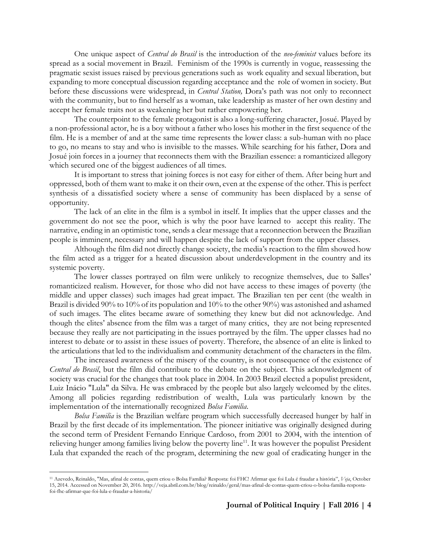One unique aspect of *Central do Brasil* is the introduction of the *neo-feminist* values before its spread as a social movement in Brazil. Feminism of the 1990s is currently in vogue, reassessing the pragmatic sexist issues raised by previous generations such as work equality and sexual liberation, but expanding to more conceptual discussion regarding acceptance and the role of women in society. But before these discussions were widespread, in *Central Station,* Dora's path was not only to reconnect with the community, but to find herself as a woman, take leadership as master of her own destiny and accept her female traits not as weakening her but rather empowering her.

The counterpoint to the female protagonist is also a long-suffering character, Josué. Played by a non-professional actor, he is a boy without a father who loses his mother in the first sequence of the film. He is a member of and at the same time represents the lower class: a sub-human with no place to go, no means to stay and who is invisible to the masses. While searching for his father, Dora and Josué join forces in a journey that reconnects them with the Brazilian essence: a romanticized allegory which secured one of the biggest audiences of all times.

It is important to stress that joining forces is not easy for either of them. After being hurt and oppressed, both of them want to make it on their own, even at the expense of the other. This is perfect synthesis of a dissatisfied society where a sense of community has been displaced by a sense of opportunity.

The lack of an elite in the film is a symbol in itself. It implies that the upper classes and the government do not see the poor, which is why the poor have learned to accept this reality. The narrative, ending in an optimistic tone, sends a clear message that a reconnection between the Brazilian people is imminent, necessary and will happen despite the lack of support from the upper classes.

Although the film did not directly change society, the media's reaction to the film showed how the film acted as a trigger for a heated discussion about underdevelopment in the country and its systemic poverty.

The lower classes portrayed on film were unlikely to recognize themselves, due to Salles' romanticized realism. However, for those who did not have access to these images of poverty (the middle and upper classes) such images had great impact. The Brazilian ten per cent (the wealth in Brazil is divided 90% to 10% of its population and 10% to the other 90%) was astonished and ashamed of such images. The elites became aware of something they knew but did not acknowledge. And though the elites' absence from the film was a target of many critics, they are not being represented because they really are not participating in the issues portrayed by the film. The upper classes had no interest to debate or to assist in these issues of poverty. Therefore, the absence of an elite is linked to the articulations that led to the individualism and community detachment of the characters in the film.

The increased awareness of the misery of the country, is not consequence of the existence of *Central do Brasil*, but the film did contribute to the debate on the subject. This acknowledgment of society was crucial for the changes that took place in 2004. In 2003 Brazil elected a populist president, Luiz Inácio "Lula" da Silva. He was embraced by the people but also largely welcomed by the elites. Among all policies regarding redistribution of wealth, Lula was particularly known by the implementation of the internationally recognized *Bolsa Familia*.

*Bolsa Familia* is the Brazilian welfare program which successfully decreased hunger by half in Brazil by the first decade of its implementation. The pioneer initiative was originally designed during the second term of President Fernando Enrique Cardoso, from 2001 to 2004, with the intention of relieving hunger among families living below the poverty line<sup>11</sup>. It was however the populist President Lula that expanded the reach of the program, determining the new goal of eradicating hunger in the

 $\overline{a}$ 

<sup>11</sup> Azevedo, Reinaldo, "Mas, afinal de contas, quem criou o Bolsa Família? Resposta: foi FHC! Afirmar que foi Lula é fraudar a história", *Veja*, October 15, 2014. Accessed on November 20, 2016[. http://veja.abril.com.br/blog/reinaldo/geral/mas-afinal-de-contas-quem-criou-o-bolsa-familia-resposta](http://veja.abril.com.br/blog/reinaldo/geral/mas-afinal-de-contas-quem-criou-o-bolsa-familia-resposta-foi-fhc-afirmar-que-foi-lula-e-fraudar-a-historia/)[foi-fhc-afirmar-que-foi-lula-e-fraudar-a-historia/](http://veja.abril.com.br/blog/reinaldo/geral/mas-afinal-de-contas-quem-criou-o-bolsa-familia-resposta-foi-fhc-afirmar-que-foi-lula-e-fraudar-a-historia/)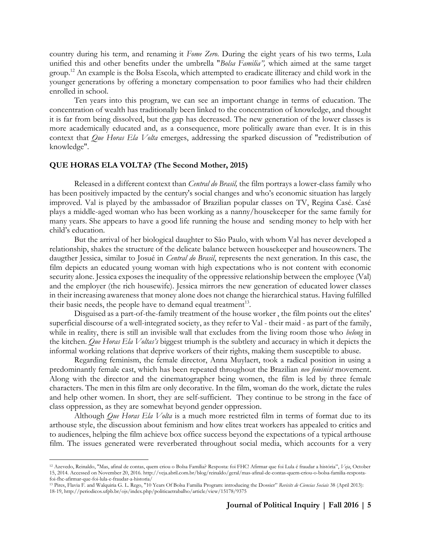country during his term, and renaming it *Fome Zero*. During the eight years of his two terms, Lula unified this and other benefits under the umbrella "*Bolsa Familia",* which aimed at the same target group.<sup>12</sup> An example is the Bolsa Escola, which attempted to eradicate illiteracy and child work in the younger generations by offering a monetary compensation to poor families who had their children enrolled in school.

Ten years into this program, we can see an important change in terms of education. The concentration of wealth has traditionally been linked to the concentration of knowledge, and thought it is far from being dissolved, but the gap has decreased. The new generation of the lower classes is more academically educated and, as a consequence, more politically aware than ever. It is in this context that *Que Horas Ela Volta* emerges, addressing the sparked discussion of "redistribution of knowledge".

#### **QUE HORAS ELA VOLTA? (The Second Mother, 2015)**

 $\overline{a}$ 

Released in a different context than *Central do Brasil,* the film portrays a lower-class family who has been positively impacted by the century's social changes and who's economic situation has largely improved. Val is played by the ambassador of Brazilian popular classes on TV, Regina Casé. Casé plays a middle-aged woman who has been working as a nanny/housekeeper for the same family for many years. She appears to have a good life running the house and sending money to help with her child's education.

But the arrival of her biological daughter to São Paulo, with whom Val has never developed a relationship, shakes the structure of the delicate balance between housekeeper and houseowners. The daugther Jessica, similar to Josué in *Central do Brasil*, represents the next generation. In this case, the film depicts an educated young woman with high expectations who is not content with economic security alone. Jessica exposes the inequality of the oppressive relationship between the employee (Val) and the employer (the rich housewife). Jessica mirrors the new generation of educated lower classes in their increasing awareness that money alone does not change the hierarchical status. Having fulfilled their basic needs, the people have to demand equal treatment<sup>13</sup>.

Disguised as a part-of-the-family treatment of the house worker , the film points out the elites' superficial discourse of a well-integrated society, as they refer to Val - their maid - as part of the family, while in reality, there is still an invisible wall that excludes from the living room those who *belong* in the kitchen. *Que Horas Ela Voltas's* biggest triumph is the subtlety and accuracy in which it depicts the informal working relations that deprive workers of their rights, making them susceptible to abuse.

Regarding feminism, the female director, Anna Muylaert, took a radical position in using a predominantly female cast, which has been repeated throughout the Brazilian *neo feminist* movement. Along with the director and the cinematographer being women, the film is led by three female characters. The men in this film are only decorative. In the film, woman do the work, dictate the rules and help other women. In short, they are self-sufficient. They continue to be strong in the face of class oppression, as they are somewhat beyond gender oppression.

Although *Que Horas Ela Volta* is a much more restricted film in terms of format due to its arthouse style, the discussion about feminism and how elites treat workers has appealed to critics and to audiences, helping the film achieve box office success beyond the expectations of a typical arthouse film. The issues generated were reverberated throughout social media, which accounts for a very

<sup>12</sup> Azevedo, Reinaldo, "Mas, afinal de contas, quem criou o Bolsa Família? Resposta: foi FHC! Afirmar que foi Lula é fraudar a história", *Veja*, October 15, 2014. Accessed on November 20, 2016[. http://veja.abril.com.br/blog/reinaldo/geral/mas-afinal-de-contas-quem-criou-o-bolsa-familia-resposta](http://veja.abril.com.br/blog/reinaldo/geral/mas-afinal-de-contas-quem-criou-o-bolsa-familia-resposta-foi-fhc-afirmar-que-foi-lula-e-fraudar-a-historia/)[foi-fhc-afirmar-que-foi-lula-e-fraudar-a-historia/](http://veja.abril.com.br/blog/reinaldo/geral/mas-afinal-de-contas-quem-criou-o-bolsa-familia-resposta-foi-fhc-afirmar-que-foi-lula-e-fraudar-a-historia/)

<sup>13</sup> Pires, Flavia F. and Walquiria G. L. Rego, "10 Years Of Bolsa Familia Program: introducing the Dossier" *Revisits de Ciencias Sociais* 38 (April 2013): 18-19[, http://periodicos.ufpb.br/ojs/index.php/politicaetrabalho/article/view/15178/9375](http://periodicos.ufpb.br/ojs/index.php/politicaetrabalho/article/view/15178/9375)